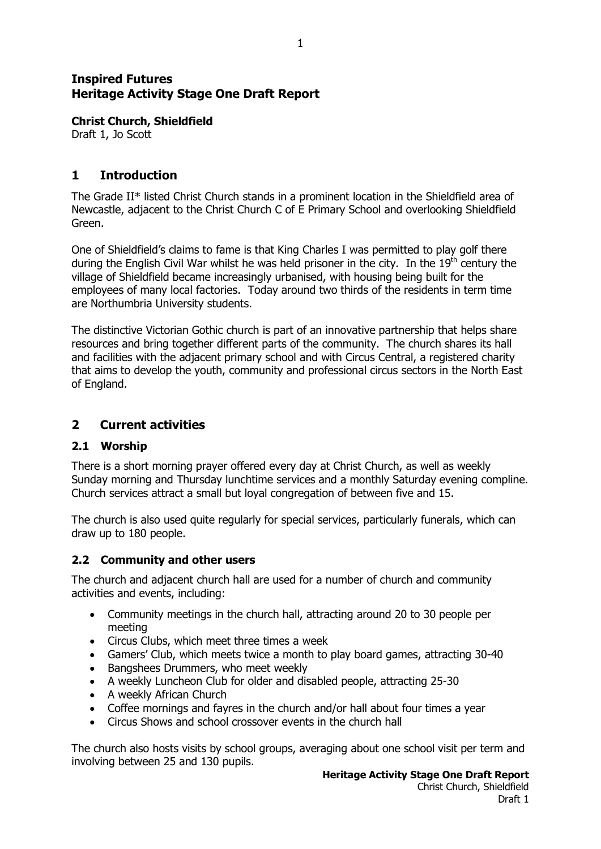## Inspired Futures Heritage Activity Stage One Draft Report

Christ Church, Shieldfield

Draft 1, Jo Scott

# 1 Introduction

The Grade II\* listed Christ Church stands in a prominent location in the Shieldfield area of Newcastle, adjacent to the Christ Church C of E Primary School and overlooking Shieldfield Green.

One of Shieldfield's claims to fame is that King Charles I was permitted to play golf there during the English Civil War whilst he was held prisoner in the city. In the  $19<sup>th</sup>$  century the village of Shieldfield became increasingly urbanised, with housing being built for the employees of many local factories. Today around two thirds of the residents in term time are Northumbria University students.

The distinctive Victorian Gothic church is part of an innovative partnership that helps share resources and bring together different parts of the community. The church shares its hall and facilities with the adjacent primary school and with Circus Central, a registered charity that aims to develop the youth, community and professional circus sectors in the North East of England.

# 2 Current activities

# 2.1 Worship

There is a short morning prayer offered every day at Christ Church, as well as weekly Sunday morning and Thursday lunchtime services and a monthly Saturday evening compline. Church services attract a small but loyal congregation of between five and 15.

The church is also used quite regularly for special services, particularly funerals, which can draw up to 180 people.

### 2.2 Community and other users

The church and adjacent church hall are used for a number of church and community activities and events, including:

- Community meetings in the church hall, attracting around 20 to 30 people per meeting
- Circus Clubs, which meet three times a week
- Gamers' Club, which meets twice a month to play board games, attracting 30-40
- Bangshees Drummers, who meet weekly
- A weekly Luncheon Club for older and disabled people, attracting 25-30
- A weekly African Church
- Coffee mornings and fayres in the church and/or hall about four times a year
- Circus Shows and school crossover events in the church hall

The church also hosts visits by school groups, averaging about one school visit per term and involving between 25 and 130 pupils.

Heritage Activity Stage One Draft Report Christ Church, Shieldfield

Draft 1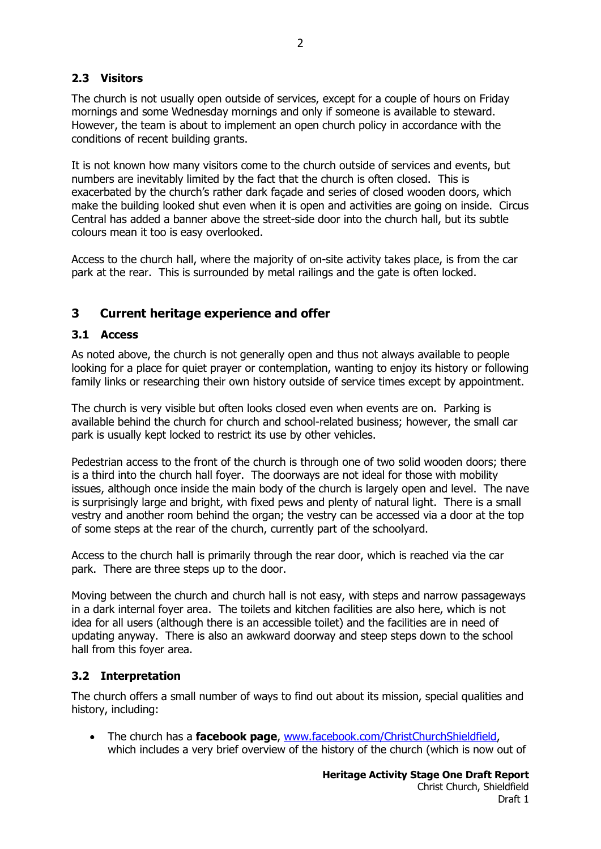## 2.3 Visitors

The church is not usually open outside of services, except for a couple of hours on Friday mornings and some Wednesday mornings and only if someone is available to steward. However, the team is about to implement an open church policy in accordance with the conditions of recent building grants.

It is not known how many visitors come to the church outside of services and events, but numbers are inevitably limited by the fact that the church is often closed. This is exacerbated by the church's rather dark façade and series of closed wooden doors, which make the building looked shut even when it is open and activities are going on inside. Circus Central has added a banner above the street-side door into the church hall, but its subtle colours mean it too is easy overlooked.

Access to the church hall, where the majority of on-site activity takes place, is from the car park at the rear. This is surrounded by metal railings and the gate is often locked.

# 3 Current heritage experience and offer

#### 3.1 Access

As noted above, the church is not generally open and thus not always available to people looking for a place for quiet prayer or contemplation, wanting to enjoy its history or following family links or researching their own history outside of service times except by appointment.

The church is very visible but often looks closed even when events are on. Parking is available behind the church for church and school-related business; however, the small car park is usually kept locked to restrict its use by other vehicles.

Pedestrian access to the front of the church is through one of two solid wooden doors; there is a third into the church hall foyer. The doorways are not ideal for those with mobility issues, although once inside the main body of the church is largely open and level. The nave is surprisingly large and bright, with fixed pews and plenty of natural light. There is a small vestry and another room behind the organ; the vestry can be accessed via a door at the top of some steps at the rear of the church, currently part of the schoolyard.

Access to the church hall is primarily through the rear door, which is reached via the car park. There are three steps up to the door.

Moving between the church and church hall is not easy, with steps and narrow passageways in a dark internal foyer area. The toilets and kitchen facilities are also here, which is not idea for all users (although there is an accessible toilet) and the facilities are in need of updating anyway. There is also an awkward doorway and steep steps down to the school hall from this foyer area.

#### 3.2 Interpretation

The church offers a small number of ways to find out about its mission, special qualities and history, including:

• The church has a facebook page, www.facebook.com/ChristChurchShieldfield, which includes a very brief overview of the history of the church (which is now out of

> Heritage Activity Stage One Draft Report Christ Church, Shieldfield Draft 1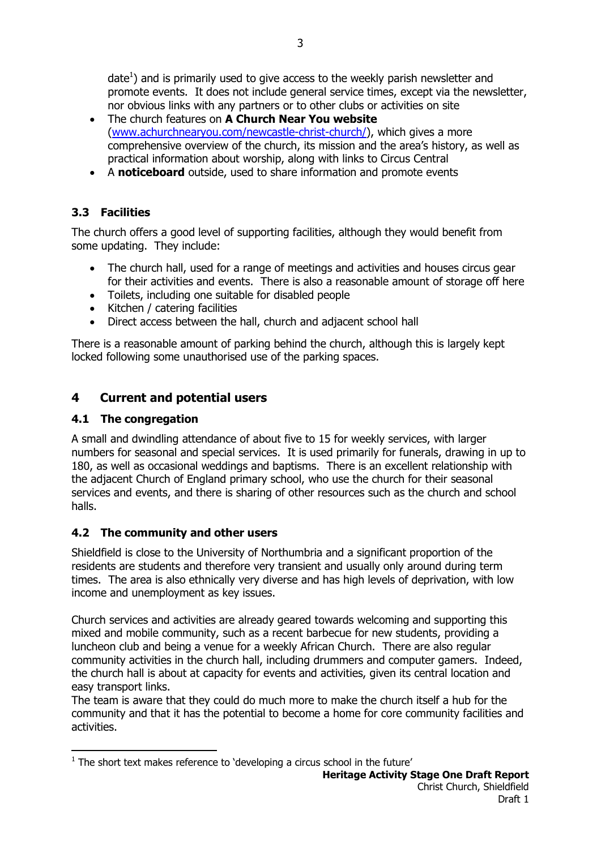date $<sup>1</sup>$ ) and is primarily used to give access to the weekly parish newsletter and</sup> promote events. It does not include general service times, except via the newsletter, nor obvious links with any partners or to other clubs or activities on site

- The church features on **A Church Near You website** (www.achurchnearyou.com/newcastle-christ-church/), which gives a more comprehensive overview of the church, its mission and the area's history, as well as practical information about worship, along with links to Circus Central
- A noticeboard outside, used to share information and promote events

## 3.3 Facilities

The church offers a good level of supporting facilities, although they would benefit from some updating. They include:

- The church hall, used for a range of meetings and activities and houses circus gear for their activities and events. There is also a reasonable amount of storage off here
- Toilets, including one suitable for disabled people
- Kitchen / catering facilities
- Direct access between the hall, church and adjacent school hall

There is a reasonable amount of parking behind the church, although this is largely kept locked following some unauthorised use of the parking spaces.

# 4 Current and potential users

### 4.1 The congregation

-

A small and dwindling attendance of about five to 15 for weekly services, with larger numbers for seasonal and special services. It is used primarily for funerals, drawing in up to 180, as well as occasional weddings and baptisms. There is an excellent relationship with the adjacent Church of England primary school, who use the church for their seasonal services and events, and there is sharing of other resources such as the church and school halls.

### 4.2 The community and other users

Shieldfield is close to the University of Northumbria and a significant proportion of the residents are students and therefore very transient and usually only around during term times. The area is also ethnically very diverse and has high levels of deprivation, with low income and unemployment as key issues.

Church services and activities are already geared towards welcoming and supporting this mixed and mobile community, such as a recent barbecue for new students, providing a luncheon club and being a venue for a weekly African Church. There are also regular community activities in the church hall, including drummers and computer gamers. Indeed, the church hall is about at capacity for events and activities, given its central location and easy transport links.

The team is aware that they could do much more to make the church itself a hub for the community and that it has the potential to become a home for core community facilities and activities.

 $1$  The short text makes reference to 'developing a circus school in the future'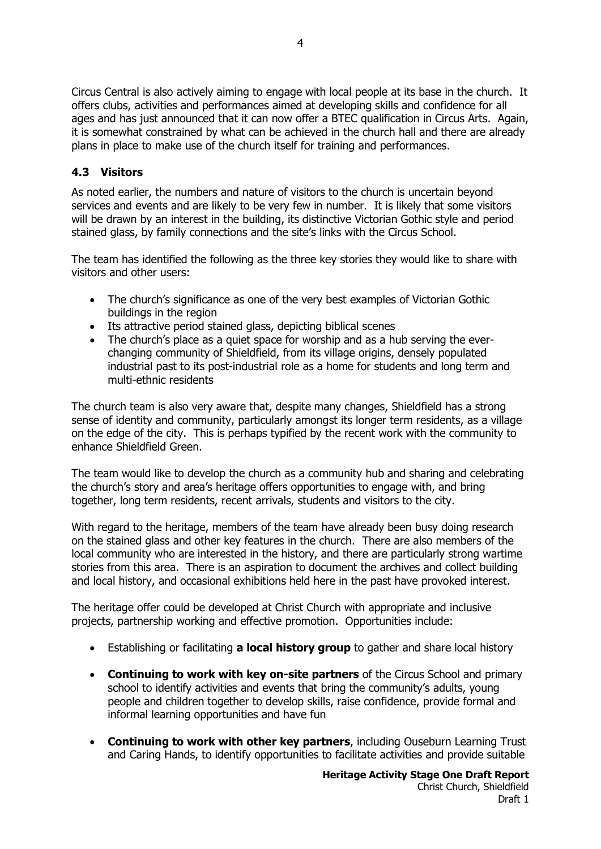Circus Central is also actively aiming to engage with local people at its base in the church. It offers clubs, activities and performances aimed at developing skills and confidence for all ages and has just announced that it can now offer a BTEC qualification in Circus Arts. Again, it is somewhat constrained by what can be achieved in the church hall and there are already plans in place to make use of the church itself for training and performances.

4

### 4.3 Visitors

As noted earlier, the numbers and nature of visitors to the church is uncertain beyond services and events and are likely to be very few in number. It is likely that some visitors will be drawn by an interest in the building, its distinctive Victorian Gothic style and period stained glass, by family connections and the site's links with the Circus School.

The team has identified the following as the three key stories they would like to share with visitors and other users:

- The church's significance as one of the very best examples of Victorian Gothic buildings in the region
- Its attractive period stained glass, depicting biblical scenes
- The church's place as a quiet space for worship and as a hub serving the everchanging community of Shieldfield, from its village origins, densely populated industrial past to its post-industrial role as a home for students and long term and multi-ethnic residents

The church team is also very aware that, despite many changes, Shieldfield has a strong sense of identity and community, particularly amongst its longer term residents, as a village on the edge of the city. This is perhaps typified by the recent work with the community to enhance Shieldfield Green.

The team would like to develop the church as a community hub and sharing and celebrating the church's story and area's heritage offers opportunities to engage with, and bring together, long term residents, recent arrivals, students and visitors to the city.

With regard to the heritage, members of the team have already been busy doing research on the stained glass and other key features in the church. There are also members of the local community who are interested in the history, and there are particularly strong wartime stories from this area. There is an aspiration to document the archives and collect building and local history, and occasional exhibitions held here in the past have provoked interest.

The heritage offer could be developed at Christ Church with appropriate and inclusive projects, partnership working and effective promotion. Opportunities include:

- Establishing or facilitating **a local history group** to gather and share local history
- Continuing to work with key on-site partners of the Circus School and primary school to identify activities and events that bring the community's adults, young people and children together to develop skills, raise confidence, provide formal and informal learning opportunities and have fun
- Continuing to work with other key partners, including Ouseburn Learning Trust and Caring Hands, to identify opportunities to facilitate activities and provide suitable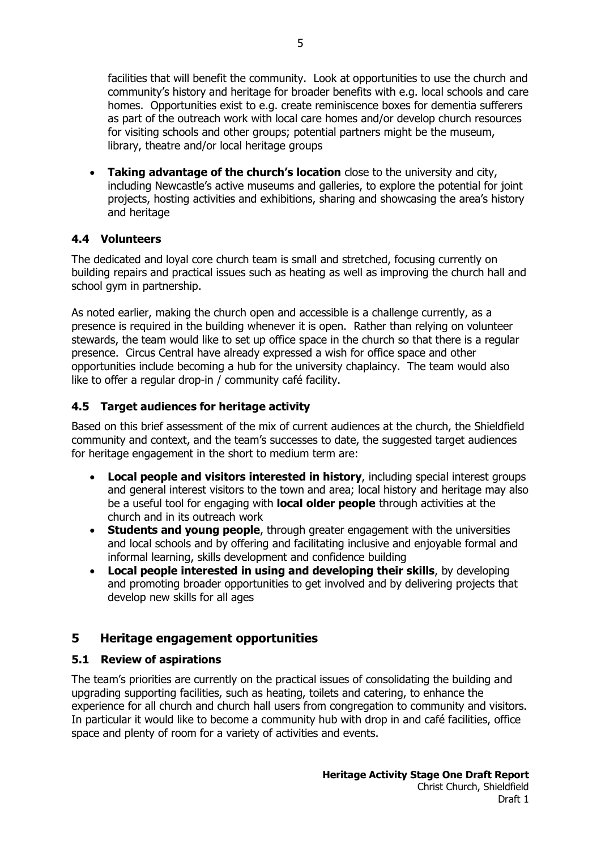facilities that will benefit the community. Look at opportunities to use the church and community's history and heritage for broader benefits with e.g. local schools and care homes. Opportunities exist to e.g. create reminiscence boxes for dementia sufferers as part of the outreach work with local care homes and/or develop church resources for visiting schools and other groups; potential partners might be the museum, library, theatre and/or local heritage groups

• Taking advantage of the church's location close to the university and city. including Newcastle's active museums and galleries, to explore the potential for joint projects, hosting activities and exhibitions, sharing and showcasing the area's history and heritage

### 4.4 Volunteers

The dedicated and loyal core church team is small and stretched, focusing currently on building repairs and practical issues such as heating as well as improving the church hall and school gym in partnership.

As noted earlier, making the church open and accessible is a challenge currently, as a presence is required in the building whenever it is open. Rather than relying on volunteer stewards, the team would like to set up office space in the church so that there is a regular presence. Circus Central have already expressed a wish for office space and other opportunities include becoming a hub for the university chaplaincy. The team would also like to offer a regular drop-in / community café facility.

### 4.5 Target audiences for heritage activity

Based on this brief assessment of the mix of current audiences at the church, the Shieldfield community and context, and the team's successes to date, the suggested target audiences for heritage engagement in the short to medium term are:

- Local people and visitors interested in history, including special interest groups and general interest visitors to the town and area; local history and heritage may also be a useful tool for engaging with **local older people** through activities at the church and in its outreach work
- Students and young people, through greater engagement with the universities and local schools and by offering and facilitating inclusive and enjoyable formal and informal learning, skills development and confidence building
- Local people interested in using and developing their skills, by developing and promoting broader opportunities to get involved and by delivering projects that develop new skills for all ages

### 5 Heritage engagement opportunities

### 5.1 Review of aspirations

The team's priorities are currently on the practical issues of consolidating the building and upgrading supporting facilities, such as heating, toilets and catering, to enhance the experience for all church and church hall users from congregation to community and visitors. In particular it would like to become a community hub with drop in and café facilities, office space and plenty of room for a variety of activities and events.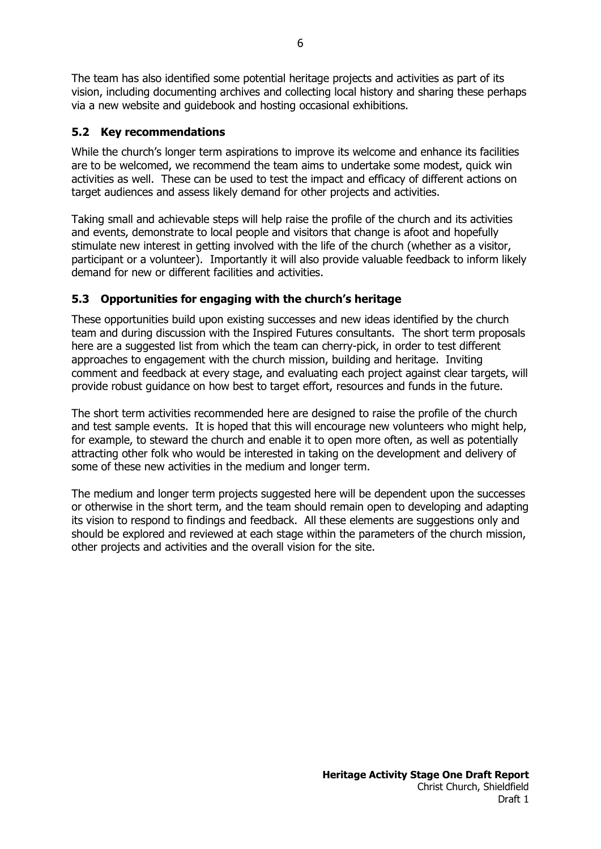The team has also identified some potential heritage projects and activities as part of its vision, including documenting archives and collecting local history and sharing these perhaps via a new website and guidebook and hosting occasional exhibitions.

## 5.2 Key recommendations

While the church's longer term aspirations to improve its welcome and enhance its facilities are to be welcomed, we recommend the team aims to undertake some modest, quick win activities as well. These can be used to test the impact and efficacy of different actions on target audiences and assess likely demand for other projects and activities.

Taking small and achievable steps will help raise the profile of the church and its activities and events, demonstrate to local people and visitors that change is afoot and hopefully stimulate new interest in getting involved with the life of the church (whether as a visitor, participant or a volunteer). Importantly it will also provide valuable feedback to inform likely demand for new or different facilities and activities.

## 5.3 Opportunities for engaging with the church's heritage

These opportunities build upon existing successes and new ideas identified by the church team and during discussion with the Inspired Futures consultants. The short term proposals here are a suggested list from which the team can cherry-pick, in order to test different approaches to engagement with the church mission, building and heritage. Inviting comment and feedback at every stage, and evaluating each project against clear targets, will provide robust guidance on how best to target effort, resources and funds in the future.

The short term activities recommended here are designed to raise the profile of the church and test sample events. It is hoped that this will encourage new volunteers who might help, for example, to steward the church and enable it to open more often, as well as potentially attracting other folk who would be interested in taking on the development and delivery of some of these new activities in the medium and longer term.

The medium and longer term projects suggested here will be dependent upon the successes or otherwise in the short term, and the team should remain open to developing and adapting its vision to respond to findings and feedback. All these elements are suggestions only and should be explored and reviewed at each stage within the parameters of the church mission, other projects and activities and the overall vision for the site.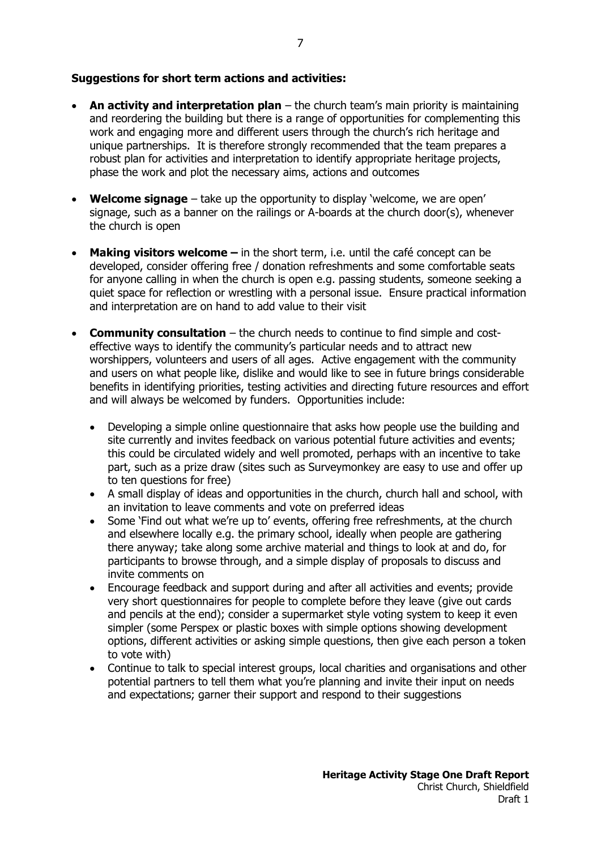#### Suggestions for short term actions and activities:

- An activity and interpretation plan the church team's main priority is maintaining and reordering the building but there is a range of opportunities for complementing this work and engaging more and different users through the church's rich heritage and unique partnerships. It is therefore strongly recommended that the team prepares a robust plan for activities and interpretation to identify appropriate heritage projects, phase the work and plot the necessary aims, actions and outcomes
- $\bullet$  Welcome signage take up the opportunity to display 'welcome, we are open' signage, such as a banner on the railings or A-boards at the church door(s), whenever the church is open
- **Making visitors welcome –** in the short term, i.e. until the café concept can be developed, consider offering free / donation refreshments and some comfortable seats for anyone calling in when the church is open e.g. passing students, someone seeking a quiet space for reflection or wrestling with a personal issue. Ensure practical information and interpretation are on hand to add value to their visit
- Community consultation  $-$  the church needs to continue to find simple and costeffective ways to identify the community's particular needs and to attract new worshippers, volunteers and users of all ages. Active engagement with the community and users on what people like, dislike and would like to see in future brings considerable benefits in identifying priorities, testing activities and directing future resources and effort and will always be welcomed by funders. Opportunities include:
	- Developing a simple online questionnaire that asks how people use the building and site currently and invites feedback on various potential future activities and events; this could be circulated widely and well promoted, perhaps with an incentive to take part, such as a prize draw (sites such as Surveymonkey are easy to use and offer up to ten questions for free)
	- A small display of ideas and opportunities in the church, church hall and school, with an invitation to leave comments and vote on preferred ideas
	- Some 'Find out what we're up to' events, offering free refreshments, at the church and elsewhere locally e.g. the primary school, ideally when people are gathering there anyway; take along some archive material and things to look at and do, for participants to browse through, and a simple display of proposals to discuss and invite comments on
	- Encourage feedback and support during and after all activities and events; provide very short questionnaires for people to complete before they leave (give out cards and pencils at the end); consider a supermarket style voting system to keep it even simpler (some Perspex or plastic boxes with simple options showing development options, different activities or asking simple questions, then give each person a token to vote with)
	- Continue to talk to special interest groups, local charities and organisations and other potential partners to tell them what you're planning and invite their input on needs and expectations; garner their support and respond to their suggestions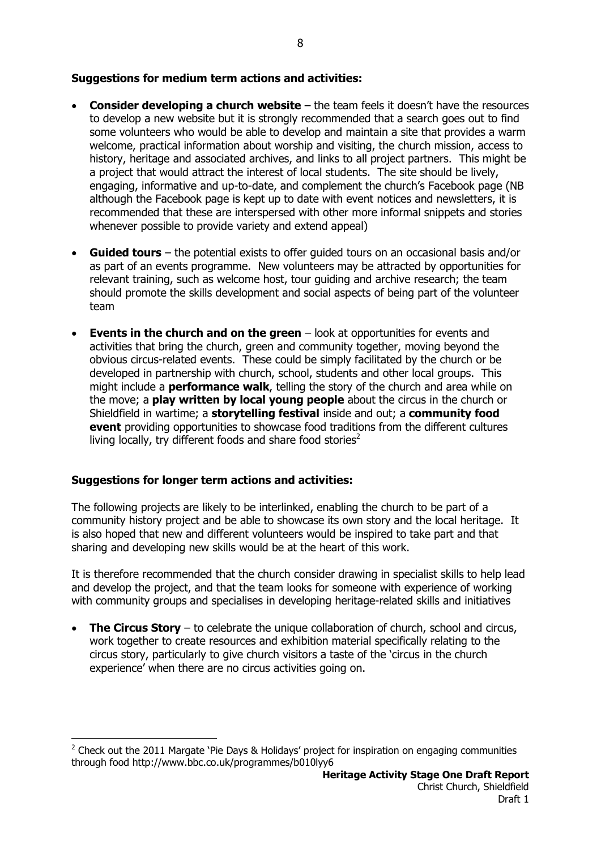#### Suggestions for medium term actions and activities:

- **Consider developing a church website**  $-$  the team feels it doesn't have the resources to develop a new website but it is strongly recommended that a search goes out to find some volunteers who would be able to develop and maintain a site that provides a warm welcome, practical information about worship and visiting, the church mission, access to history, heritage and associated archives, and links to all project partners. This might be a project that would attract the interest of local students. The site should be lively, engaging, informative and up-to-date, and complement the church's Facebook page (NB although the Facebook page is kept up to date with event notices and newsletters, it is recommended that these are interspersed with other more informal snippets and stories whenever possible to provide variety and extend appeal)
- Guided tours the potential exists to offer quided tours on an occasional basis and/or as part of an events programme. New volunteers may be attracted by opportunities for relevant training, such as welcome host, tour guiding and archive research; the team should promote the skills development and social aspects of being part of the volunteer team
- **Events in the church and on the green**  $-$  look at opportunities for events and activities that bring the church, green and community together, moving beyond the obvious circus-related events. These could be simply facilitated by the church or be developed in partnership with church, school, students and other local groups. This might include a **performance walk**, telling the story of the church and area while on the move; a **play written by local young people** about the circus in the church or Shieldfield in wartime; a storytelling festival inside and out; a community food event providing opportunities to showcase food traditions from the different cultures living locally, try different foods and share food stories<sup>2</sup>

#### Suggestions for longer term actions and activities:

-

The following projects are likely to be interlinked, enabling the church to be part of a community history project and be able to showcase its own story and the local heritage. It is also hoped that new and different volunteers would be inspired to take part and that sharing and developing new skills would be at the heart of this work.

It is therefore recommended that the church consider drawing in specialist skills to help lead and develop the project, and that the team looks for someone with experience of working with community groups and specialises in developing heritage-related skills and initiatives

**The Circus Story** – to celebrate the unique collaboration of church, school and circus, work together to create resources and exhibition material specifically relating to the circus story, particularly to give church visitors a taste of the 'circus in the church experience' when there are no circus activities going on.

 $2$  Check out the 2011 Margate 'Pie Days & Holidays' project for inspiration on engaging communities through food http://www.bbc.co.uk/programmes/b010lyy6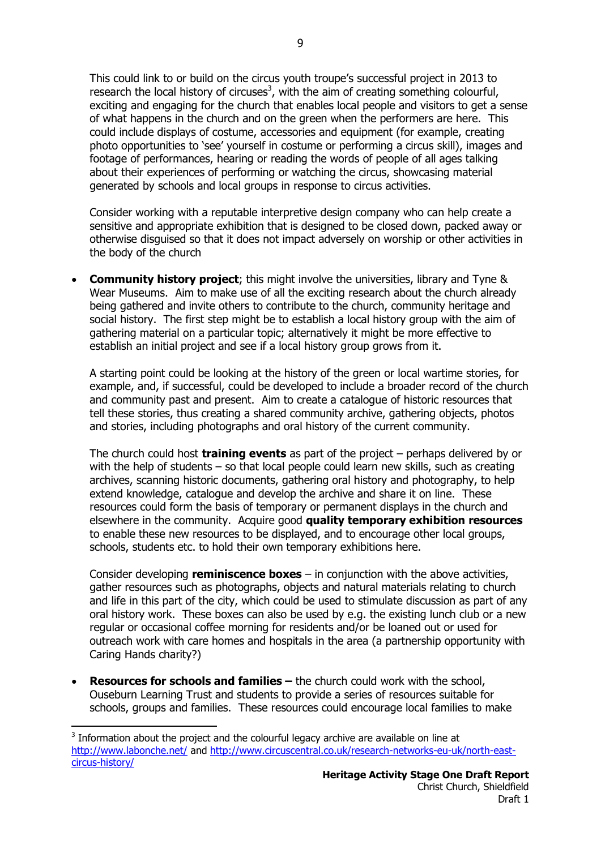This could link to or build on the circus youth troupe's successful project in 2013 to research the local history of circuses<sup>3</sup>, with the aim of creating something colourful, exciting and engaging for the church that enables local people and visitors to get a sense of what happens in the church and on the green when the performers are here. This could include displays of costume, accessories and equipment (for example, creating photo opportunities to 'see' yourself in costume or performing a circus skill), images and footage of performances, hearing or reading the words of people of all ages talking about their experiences of performing or watching the circus, showcasing material generated by schools and local groups in response to circus activities.

9

Consider working with a reputable interpretive design company who can help create a sensitive and appropriate exhibition that is designed to be closed down, packed away or otherwise disguised so that it does not impact adversely on worship or other activities in the body of the church

• Community history project; this might involve the universities, library and Tyne & Wear Museums. Aim to make use of all the exciting research about the church already being gathered and invite others to contribute to the church, community heritage and social history. The first step might be to establish a local history group with the aim of gathering material on a particular topic; alternatively it might be more effective to establish an initial project and see if a local history group grows from it.

A starting point could be looking at the history of the green or local wartime stories, for example, and, if successful, could be developed to include a broader record of the church and community past and present. Aim to create a catalogue of historic resources that tell these stories, thus creating a shared community archive, gathering objects, photos and stories, including photographs and oral history of the current community.

The church could host **training events** as part of the project  $-$  perhaps delivered by or with the help of students – so that local people could learn new skills, such as creating archives, scanning historic documents, gathering oral history and photography, to help extend knowledge, catalogue and develop the archive and share it on line. These resources could form the basis of temporary or permanent displays in the church and elsewhere in the community. Acquire good quality temporary exhibition resources to enable these new resources to be displayed, and to encourage other local groups, schools, students etc. to hold their own temporary exhibitions here.

Consider developing reminiscence boxes  $-$  in conjunction with the above activities, gather resources such as photographs, objects and natural materials relating to church and life in this part of the city, which could be used to stimulate discussion as part of any oral history work. These boxes can also be used by e.g. the existing lunch club or a new regular or occasional coffee morning for residents and/or be loaned out or used for outreach work with care homes and hospitals in the area (a partnership opportunity with Caring Hands charity?)

 Resources for schools and families – the church could work with the school, Ouseburn Learning Trust and students to provide a series of resources suitable for schools, groups and families. These resources could encourage local families to make

-

 $3$  Information about the project and the colourful legacy archive are available on line at http://www.labonche.net/ and http://www.circuscentral.co.uk/research-networks-eu-uk/north-eastcircus-history/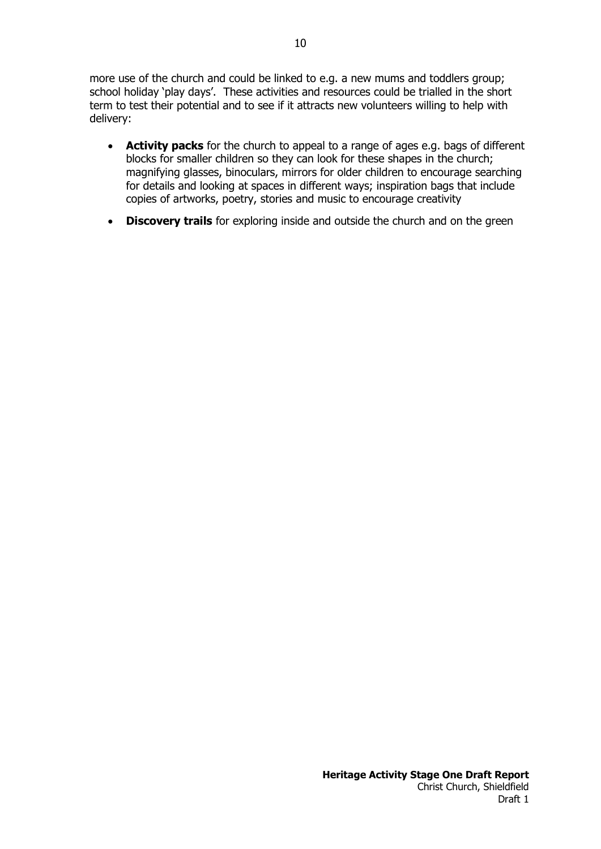more use of the church and could be linked to e.g. a new mums and toddlers group; school holiday 'play days'. These activities and resources could be trialled in the short term to test their potential and to see if it attracts new volunteers willing to help with delivery:

- Activity packs for the church to appeal to a range of ages e.g. bags of different blocks for smaller children so they can look for these shapes in the church; magnifying glasses, binoculars, mirrors for older children to encourage searching for details and looking at spaces in different ways; inspiration bags that include copies of artworks, poetry, stories and music to encourage creativity
- Discovery trails for exploring inside and outside the church and on the green